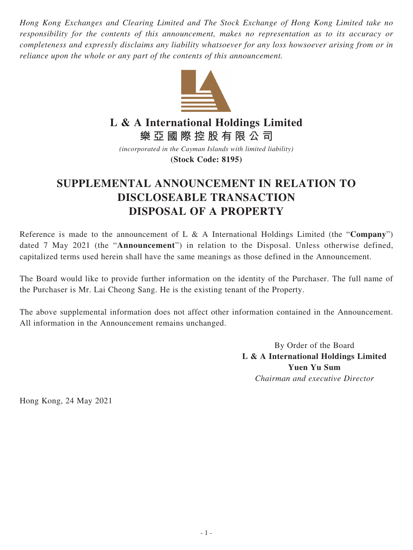*Hong Kong Exchanges and Clearing Limited and The Stock Exchange of Hong Kong Limited take no responsibility for the contents of this announcement, makes no representation as to its accuracy or completeness and expressly disclaims any liability whatsoever for any loss howsoever arising from or in reliance upon the whole or any part of the contents of this announcement.*



**L & A International Holdings Limited**

**樂亞國際控股有限公司**

*(incorporated in the Cayman Islands with limited liability)* **(Stock Code: 8195)**

## **SUPPLEMENTAL ANNOUNCEMENT IN RELATION TO DISCLOSEABLE TRANSACTION DISPOSAL OF A PROPERTY**

Reference is made to the announcement of L & A International Holdings Limited (the "**Company**") dated 7 May 2021 (the "**Announcement**") in relation to the Disposal. Unless otherwise defined, capitalized terms used herein shall have the same meanings as those defined in the Announcement.

The Board would like to provide further information on the identity of the Purchaser. The full name of the Purchaser is Mr. Lai Cheong Sang. He is the existing tenant of the Property.

The above supplemental information does not affect other information contained in the Announcement. All information in the Announcement remains unchanged.

> By Order of the Board **L & A International Holdings Limited Yuen Yu Sum** *Chairman and executive Director*

Hong Kong, 24 May 2021